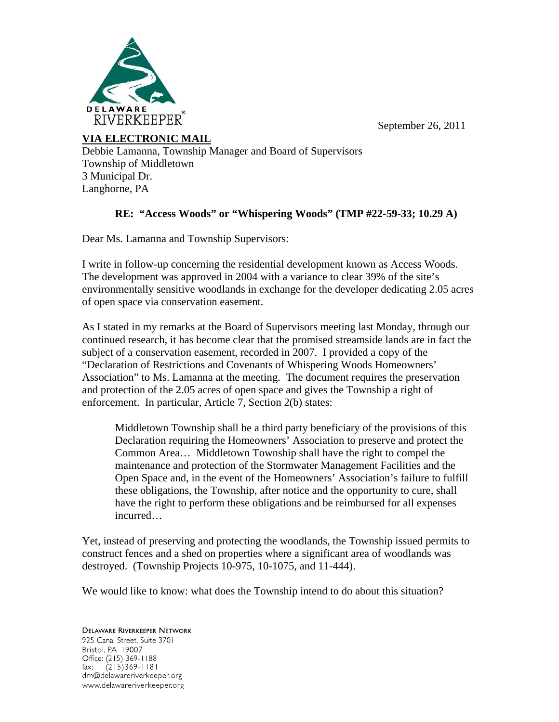September 26, 2011



**VIA ELECTRONIC MAIL** 

Debbie Lamanna, Township Manager and Board of Supervisors Township of Middletown 3 Municipal Dr. Langhorne, PA

## **RE: "Access Woods" or "Whispering Woods" (TMP #22-59-33; 10.29 A)**

Dear Ms. Lamanna and Township Supervisors:

I write in follow-up concerning the residential development known as Access Woods. The development was approved in 2004 with a variance to clear 39% of the site's environmentally sensitive woodlands in exchange for the developer dedicating 2.05 acres of open space via conservation easement.

As I stated in my remarks at the Board of Supervisors meeting last Monday, through our continued research, it has become clear that the promised streamside lands are in fact the subject of a conservation easement, recorded in 2007. I provided a copy of the "Declaration of Restrictions and Covenants of Whispering Woods Homeowners' Association" to Ms. Lamanna at the meeting. The document requires the preservation and protection of the 2.05 acres of open space and gives the Township a right of enforcement. In particular, Article 7, Section 2(b) states:

Middletown Township shall be a third party beneficiary of the provisions of this Declaration requiring the Homeowners' Association to preserve and protect the Common Area… Middletown Township shall have the right to compel the maintenance and protection of the Stormwater Management Facilities and the Open Space and, in the event of the Homeowners' Association's failure to fulfill these obligations, the Township, after notice and the opportunity to cure, shall have the right to perform these obligations and be reimbursed for all expenses incurred…

Yet, instead of preserving and protecting the woodlands, the Township issued permits to construct fences and a shed on properties where a significant area of woodlands was destroyed. (Township Projects 10-975, 10-1075, and 11-444).

We would like to know: what does the Township intend to do about this situation?

**DELAWARE RIVERKEEPER NETWORK** 925 Canal Street, Suite 3701 Bristol, PA 19007 Office: (215) 369-1188 fax:  $(215)369 - 1181$ drn@delawareriverkeeper.org www.delawareriverkeeper.org